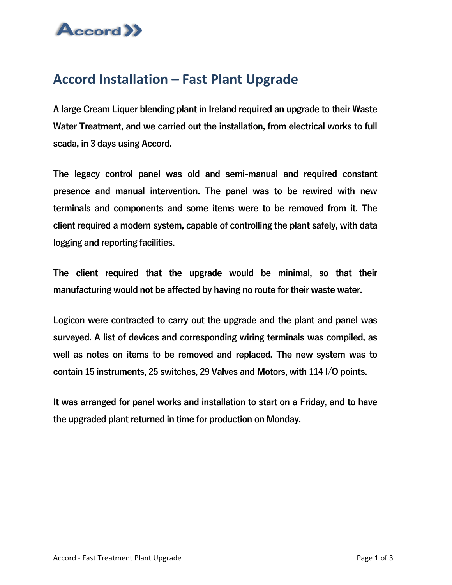

## **Accord Installation – Fast Plant Upgrade**

A large Cream Liquer blending plant in Ireland required an upgrade to their Waste Water Treatment, and we carried out the installation, from electrical works to full scada, in 3 days using Accord.

The legacy control panel was old and semi-manual and required constant presence and manual intervention. The panel was to be rewired with new terminals and components and some items were to be removed from it. The client required a modern system, capable of controlling the plant safely, with data logging and reporting facilities.

The client required that the upgrade would be minimal, so that their manufacturing would not be affected by having no route for their waste water.

Logicon were contracted to carry out the upgrade and the plant and panel was surveyed. A list of devices and corresponding wiring terminals was compiled, as well as notes on items to be removed and replaced. The new system was to contain 15 instruments, 25 switches, 29 Valves and Motors, with 114 I/O points.

It was arranged for panel works and installation to start on a Friday, and to have the upgraded plant returned in time for production on Monday.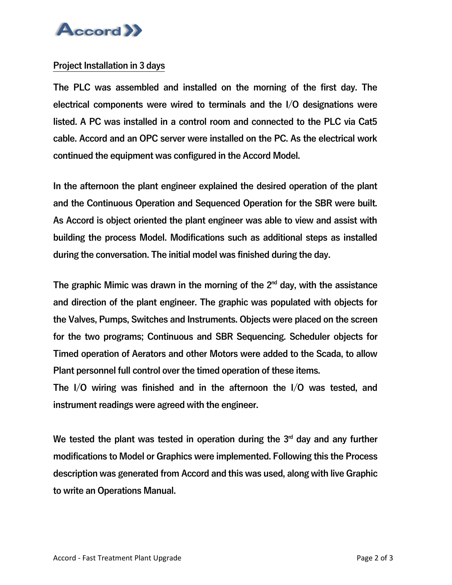

## Project Installation in 3 days

The PLC was assembled and installed on the morning of the first day. The electrical components were wired to terminals and the I/O designations were listed. A PC was installed in a control room and connected to the PLC via Cat5 cable. Accord and an OPC server were installed on the PC. As the electrical work continued the equipment was configured in the Accord Model.

In the afternoon the plant engineer explained the desired operation of the plant and the Continuous Operation and Sequenced Operation for the SBR were built. As Accord is object oriented the plant engineer was able to view and assist with building the process Model. Modifications such as additional steps as installed during the conversation. The initial model was finished during the day.

The graphic Mimic was drawn in the morning of the  $2<sup>nd</sup>$  day, with the assistance and direction of the plant engineer. The graphic was populated with objects for the Valves, Pumps, Switches and Instruments. Objects were placed on the screen for the two programs; Continuous and SBR Sequencing. Scheduler objects for Timed operation of Aerators and other Motors were added to the Scada, to allow Plant personnel full control over the timed operation of these items.

The I/O wiring was finished and in the afternoon the I/O was tested, and instrument readings were agreed with the engineer.

We tested the plant was tested in operation during the  $3<sup>rd</sup>$  day and any further modifications to Model or Graphics were implemented. Following this the Process description was generated from Accord and this was used, along with live Graphic to write an Operations Manual.